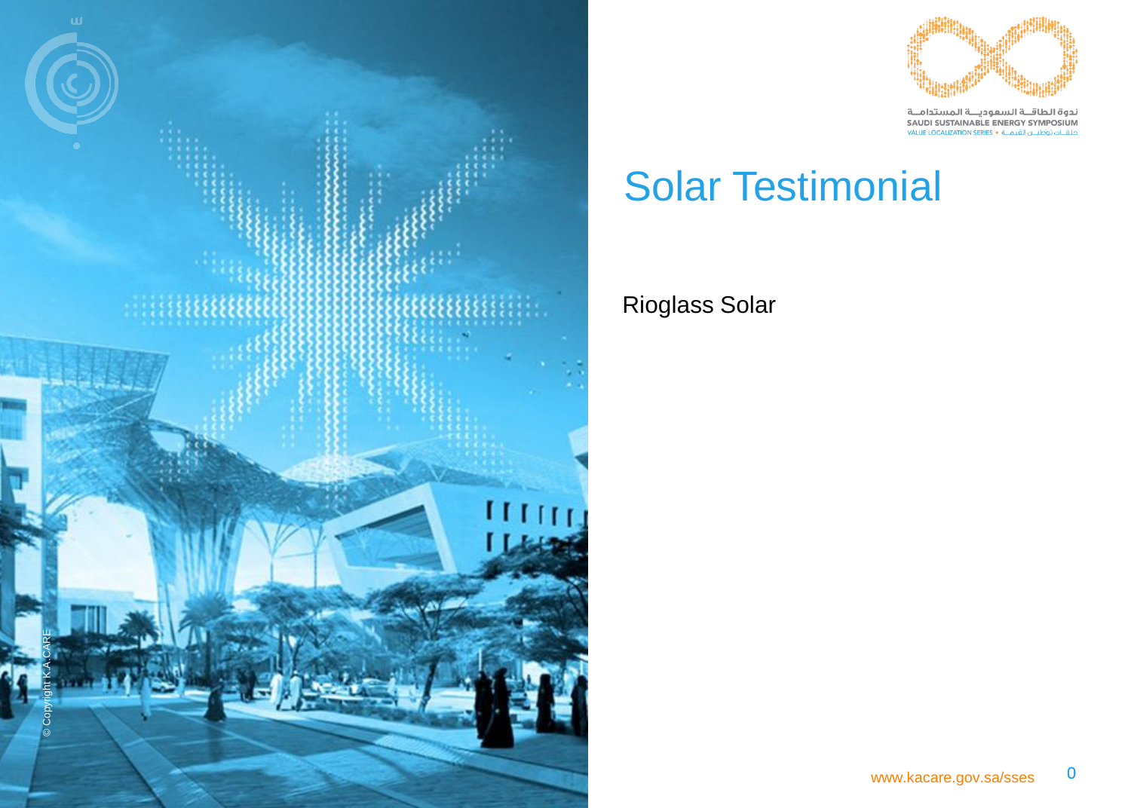



ندوة الطاقــة السعوديــة المستدامــة<br>SAUDI SUSTAINABLE ENERGY SYMPOSIUM تطقـات توطيــن القيمــة • VALUE LOCALIZATION SERIES

### Solar Testimonial

### Rioglass Solar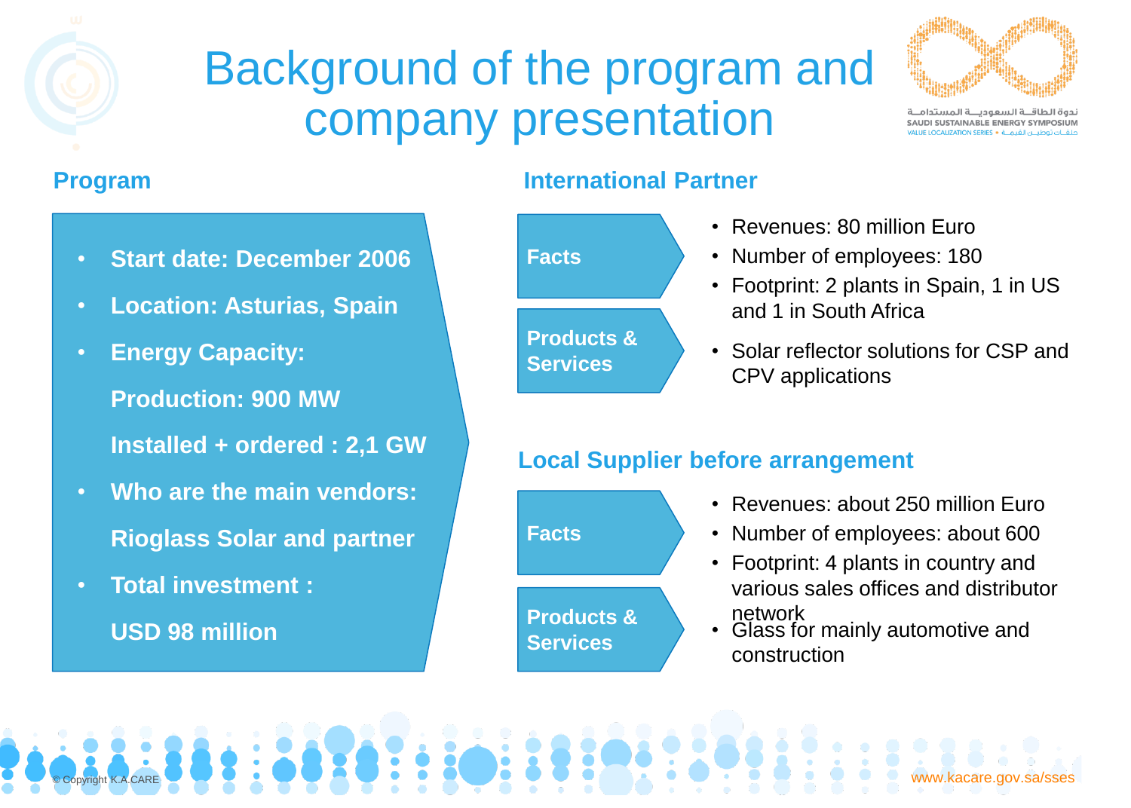## Background of the program and company presentation



ندوة الطاقــة السعوديــة المستدام SAUDI SUSTAINABLE ENERGY SYMPOSIUM

- **Start date: December 2006**
- **Location: Asturias, Spain**
- **Energy Capacity: Production: 900 MW Installed + ordered : 2,1 GW**
- **Who are the main vendors: Rioglass Solar and partner**
- **Total investment : USD 98 million**



### **Program International Partner**

- Revenues: 80 million Euro
- Number of employees: 180
- Footprint: 2 plants in Spain, 1 in US and 1 in South Africa
- Solar reflector solutions for CSP and CPV applications

### **Local Supplier before arrangement**



© Copyright K.A.CARE WAS CONSIDERED TO A CARE WAS CONSIDERED TO A CARE WAS CONSIDERED TO A CARE WWW.kacare.gov.sa/sses

- Revenues: about 250 million Euro
- Number of employees: about 600
- Footprint: 4 plants in country and various sales offices and distributor network
- **Services** Glass for mainly automotive and construction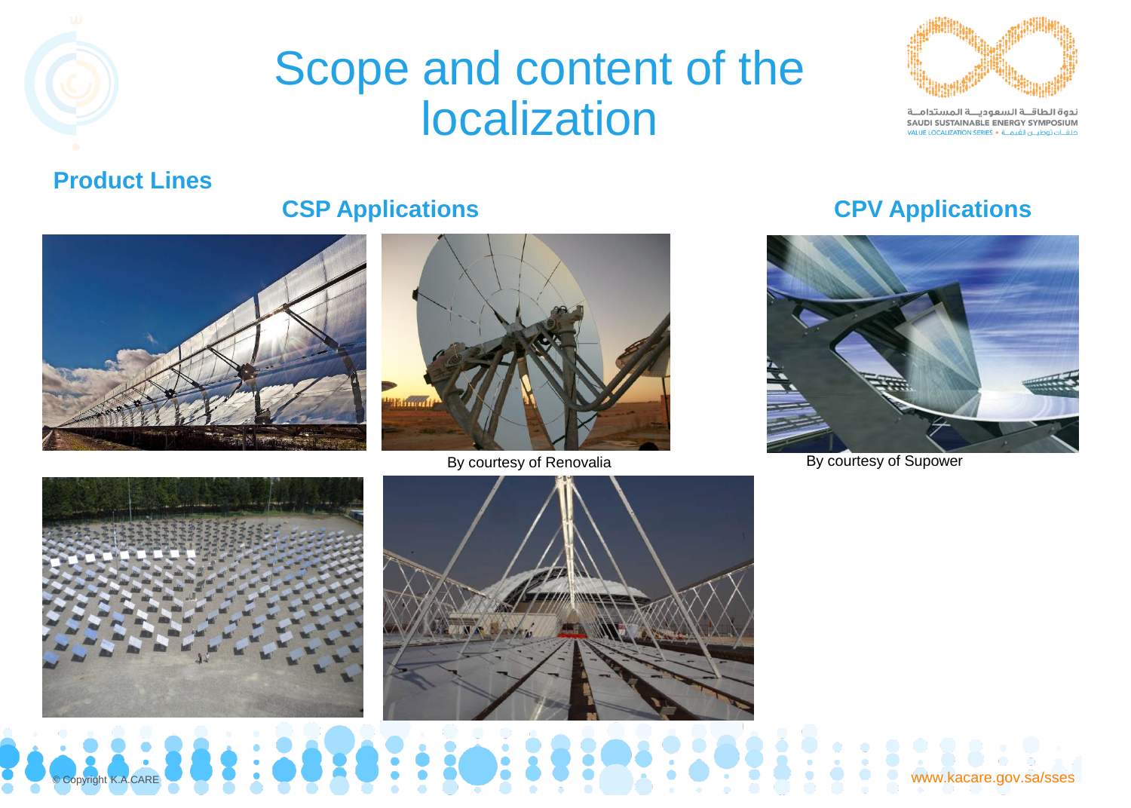



ندوة الطاقــة السعوديــة المستدامــة SAUDI SUSTAINABLE ENERGY SYMPOSIUM حلقــات توطيــن القيمــة • VALUE LOCALIZATION SERIES

#### **Product Lines**





By courtesy of Renovalia By courtesy of Supower

#### **CSP Applications CPV Applications**







www.kacare.gov.sa/sses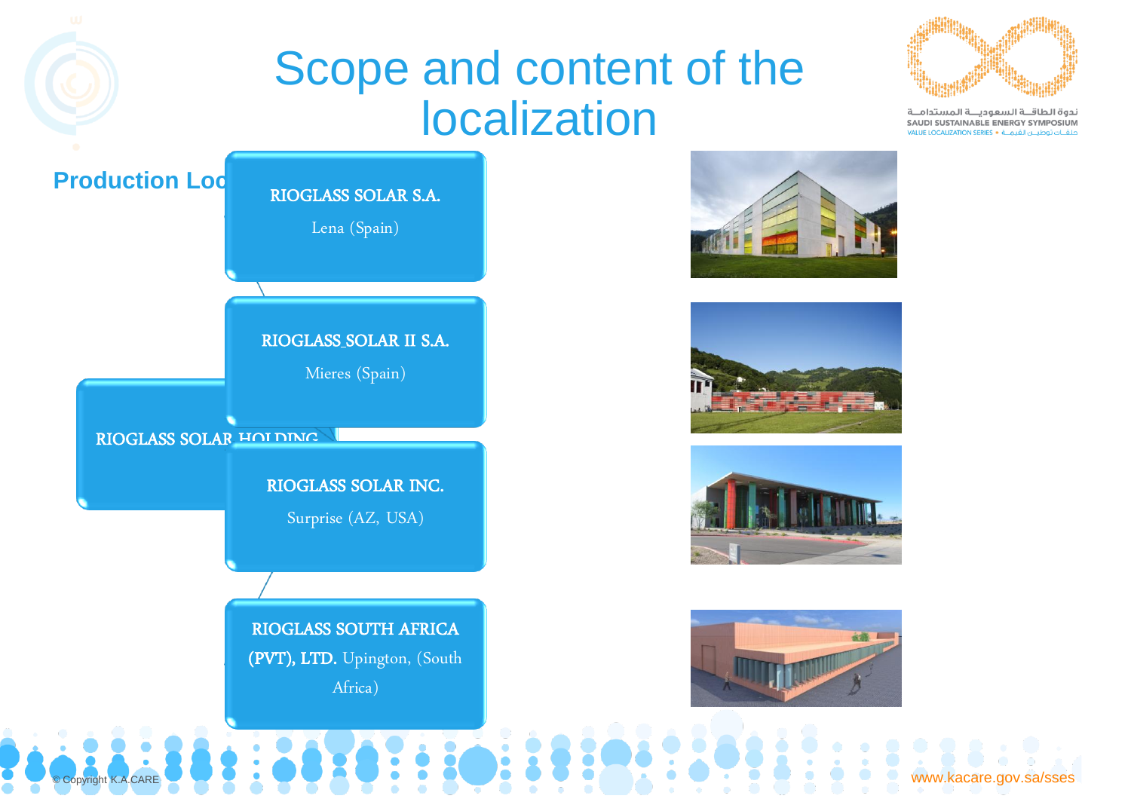## Scope and content of the localization



ندوة الطاقــة السعوديــة المستدامــة SAUDI SUSTAINABLE ENERGY SYMPOSIUM حلقــات توطيــن القيمــة • vALUE LOCALIZATION SERIES

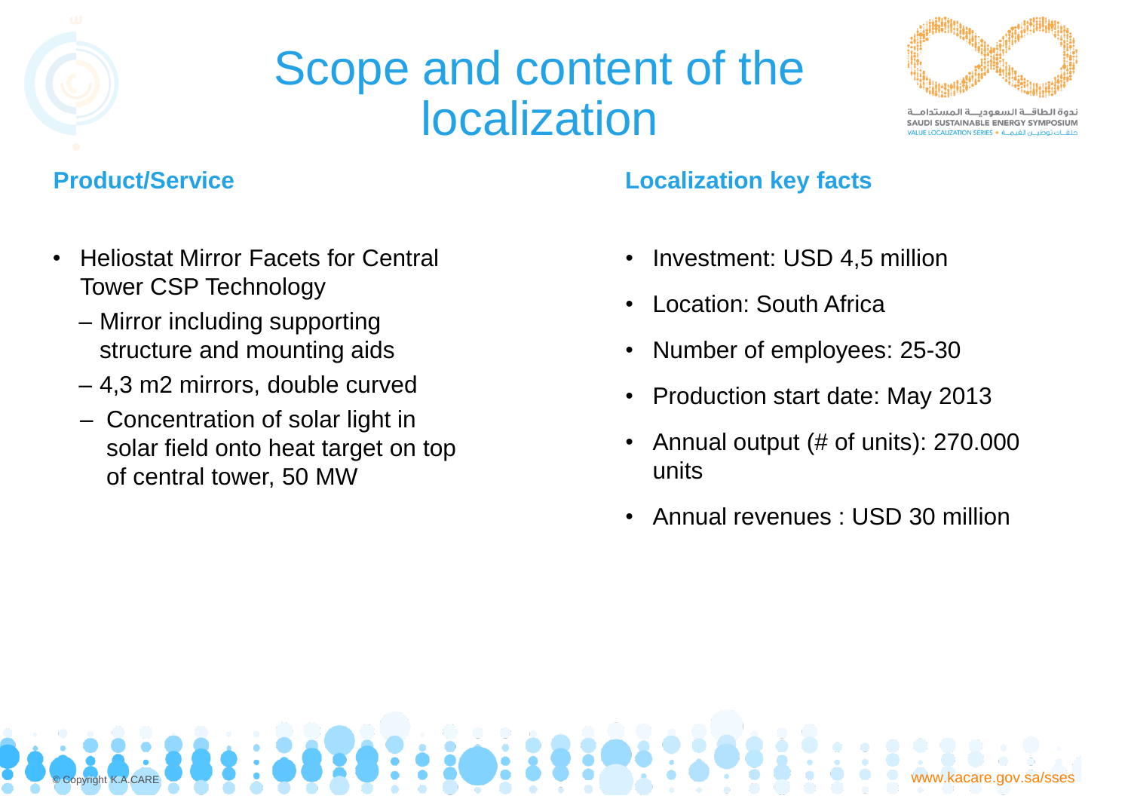

## Scope and content of the localization



حوة الطاقـــة السعودب AUDI SUSTAINABLE ENERGY SYMPOSIUM

- Heliostat Mirror Facets for Central Tower CSP Technology
	- Mirror including supporting structure and mounting aids
	- 4,3 m2 mirrors, double curved
	- Concentration of solar light in solar field onto heat target on top of central tower, 50 MW

### **Product/Service Localization key facts**

- Investment: USD 4,5 million
- Location: South Africa
- Number of employees: 25-30
- Production start date: May 2013
- Annual output (# of units): 270.000 units
- Annual revenues : USD 30 million

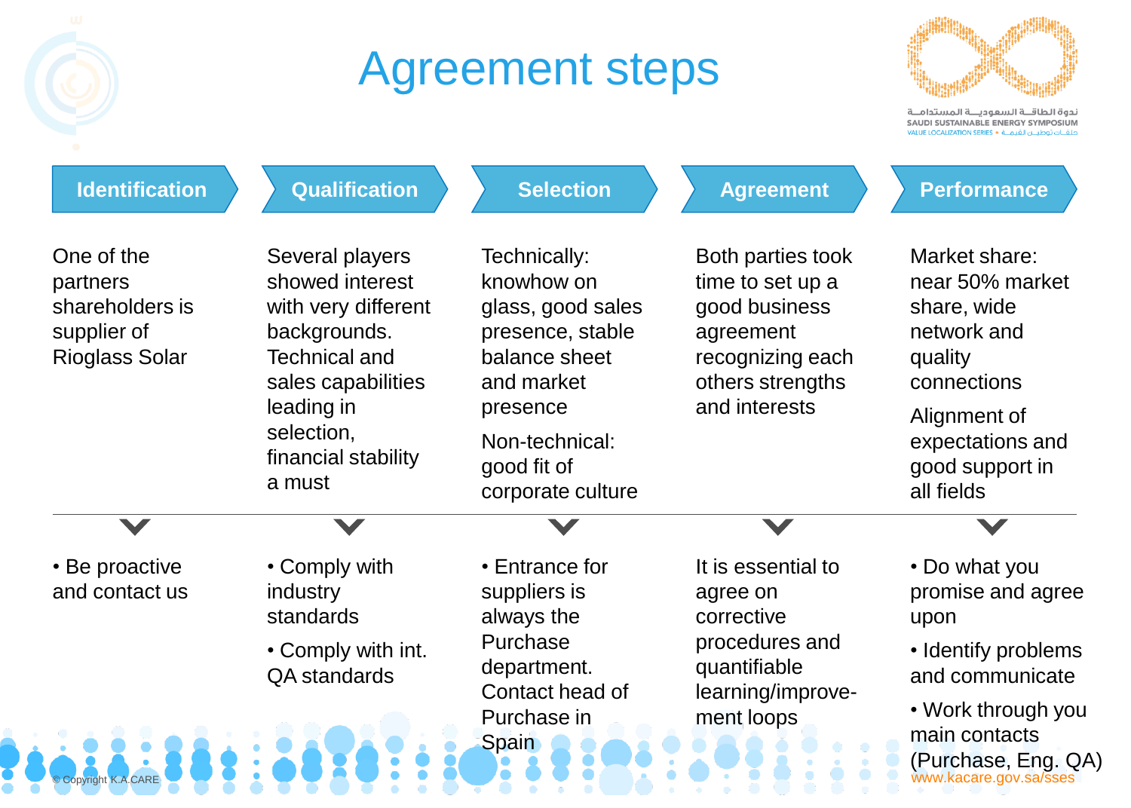## Agreement steps



ندوة الطاقة السعوديــة المستدامــة SAUDI SUSTAINABLE ENERGY SYMPOSIUM الملقــات توطيـــن القيمــة • VALUE LOCALIZATION SERIES

| <b>Identification</b>                                                             | <b>Qualification</b>                                                                                                                                                                 | <b>Selection</b>                                                                                                          | <b>Agreement</b>                                                                                                             | <b>Performance</b>                                                                                                                                                           |
|-----------------------------------------------------------------------------------|--------------------------------------------------------------------------------------------------------------------------------------------------------------------------------------|---------------------------------------------------------------------------------------------------------------------------|------------------------------------------------------------------------------------------------------------------------------|------------------------------------------------------------------------------------------------------------------------------------------------------------------------------|
| One of the<br>partners<br>shareholders is<br>supplier of<br><b>Rioglass Solar</b> | Several players<br>showed interest<br>with very different<br>backgrounds.<br><b>Technical and</b><br>sales capabilities<br>leading in<br>selection,<br>financial stability<br>a must | Technically:<br>knowhow on<br>glass, good sales<br>presence, stable<br>balance sheet<br>and market                        | Both parties took<br>time to set up a<br>good business<br>agreement<br>recognizing each<br>others strengths<br>and interests | Market share:<br>near 50% market<br>share, wide<br>network and<br>quality<br>connections                                                                                     |
|                                                                                   |                                                                                                                                                                                      | presence<br>Non-technical:<br>good fit of<br>corporate culture                                                            |                                                                                                                              | Alignment of<br>expectations and<br>good support in<br>all fields                                                                                                            |
|                                                                                   |                                                                                                                                                                                      |                                                                                                                           |                                                                                                                              |                                                                                                                                                                              |
| • Be proactive<br>and contact us<br>© Copyright K.A.CARE                          | • Comply with<br>industry<br>standards<br>• Comply with int.<br><b>QA</b> standards                                                                                                  | • Entrance for<br>suppliers is<br>always the<br>Purchase<br>department.<br>Contact head of<br>Purchase in<br><b>Spain</b> | It is essential to<br>agree on<br>corrective<br>procedures and<br>quantifiable<br>learning/improve-<br>ment loops            | • Do what you<br>promise and agree<br>upon<br>• Identify problems<br>and communicate<br>• Work through you<br>main contacts<br>(Purchase, Eng. QA)<br>www.kacare.gov.sa/sses |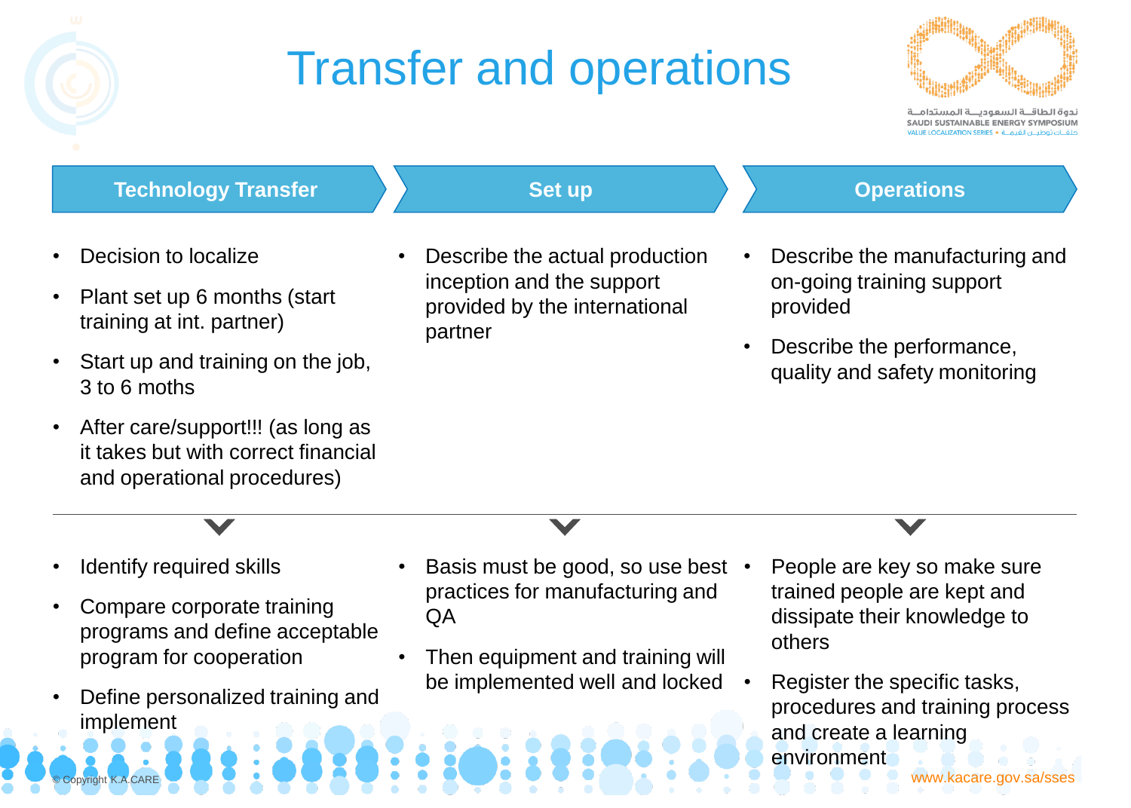# Transfer and operations



ندوة الطاقـــة السعوديـــة المستدام SAUDI SUSTAINABLE ENERGY SYMPOSIUM

#### **Technology Transfer Set up Set up Set up Operations**

- Decision to localize
- Plant set up 6 months (start training at int. partner)
- Start up and training on the job, 3 to 6 moths
- After care/support!!! (as long as it takes but with correct financial and operational procedures)

• Describe the actual production inception and the support provided by the international

partner

- Describe the manufacturing and on-going training support provided
- Describe the performance, quality and safety monitoring

- Identify required skills
- Compare corporate training programs and define acceptable program for cooperation
- Define personalized training and implement
- Basis must be good, so use best practices for manufacturing and  $\overline{OA}$
- Then equipment and training will be implemented well and locked
- People are key so make sure trained people are kept and dissipate their knowledge to others
- Register the specific tasks, procedures and training process and create a learning environment

© Copyright K.A.CARE WAS CONSIDERED TO A CARE WAS CONSIDERED TO A CARE WAS CONSIDERED TO A CARE WWW.kacare.gov.sa/sses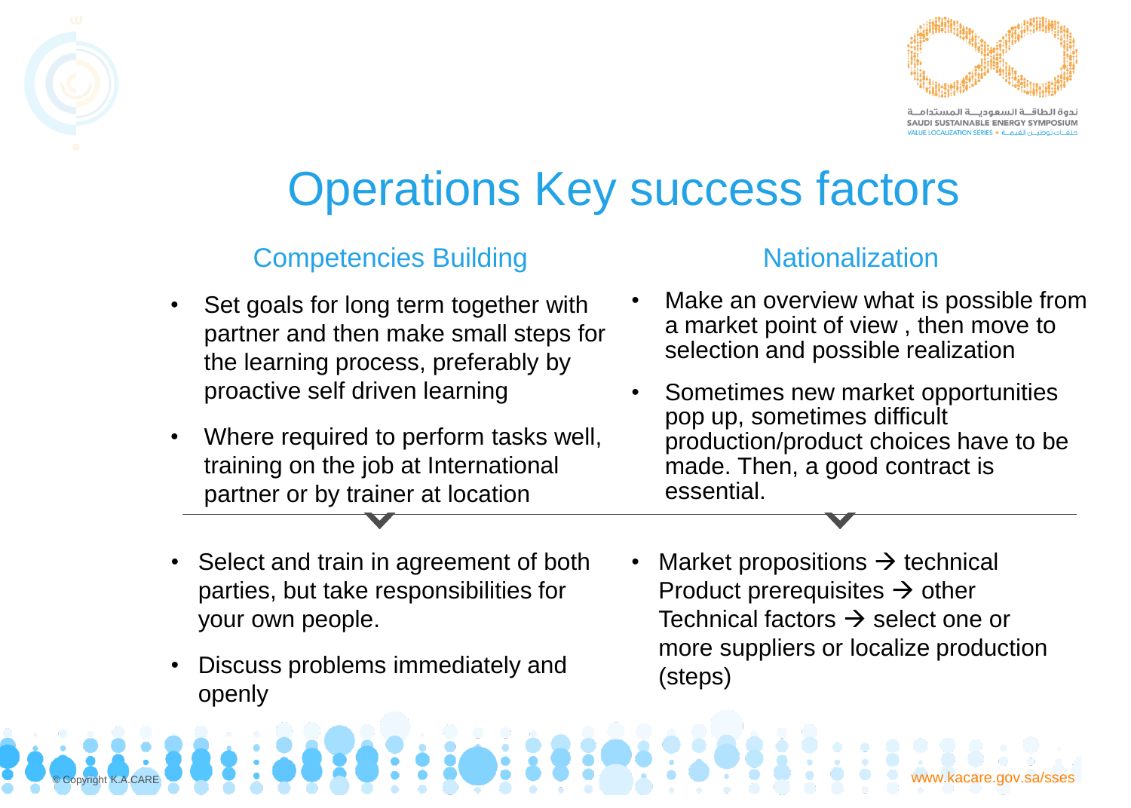

ندوة الطاقــة السعوديــة المستدام SAUDI SUSTAINABLE ENERGY SYMPOSIUM ن القيمــة • CALIZATION SERIES:

## Operations Key success factors

### **Competencies Building Competencies Building Competencies Building**

- Set goals for long term together with partner and then make small steps for the learning process, preferably by proactive self driven learning
- Where required to perform tasks well, training on the job at International partner or by trainer at location

- Make an overview what is possible from a market point of view , then move to selection and possible realization
- Sometimes new market opportunities pop up, sometimes difficult production/product choices have to be made. Then, a good contract is essential.
- Select and train in agreement of both parties, but take responsibilities for your own people.
- Discuss problems immediately and openly
- Market propositions  $\rightarrow$  technical Product prerequisites  $\rightarrow$  other Technical factors  $\rightarrow$  select one or more suppliers or localize production (steps)